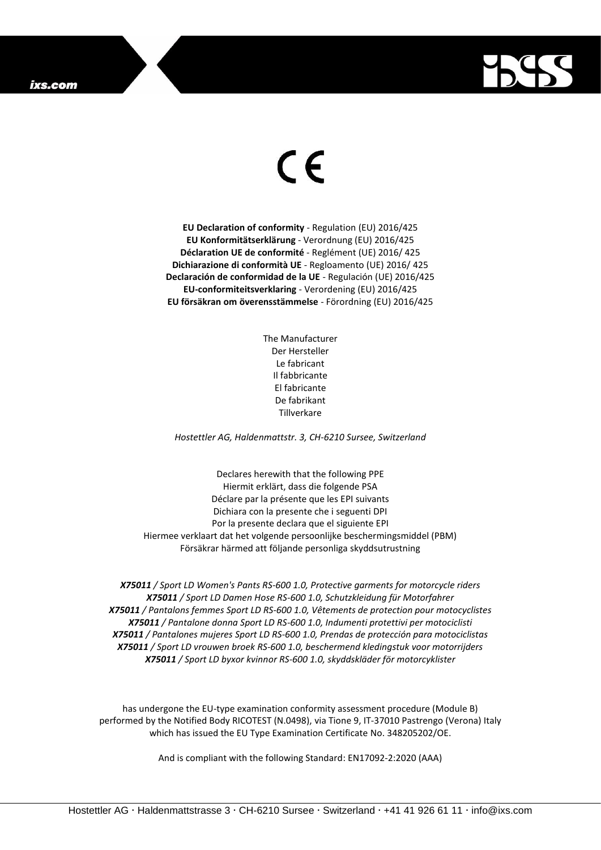## ixs.com



## $\epsilon$

**EU Declaration of conformity** - Regulation (EU) 2016/425 **EU Konformitätserklärung** - Verordnung (EU) 2016/425 **Déclaration UE de conformité** - Reglément (UE) 2016/ 425 **Dichiarazione di conformità UE** - Regloamento (UE) 2016/ 425 **Declaración de conformidad de la UE** - Regulación (UE) 2016/425 **EU-conformiteitsverklaring** - Verordening (EU) 2016/425 **EU försäkran om överensstämmelse** - Förordning (EU) 2016/425

> The Manufacturer Der Hersteller Le fabricant Il fabbricante El fabricante De fabrikant Tillverkare

*Hostettler AG, Haldenmattstr. 3, CH-6210 Sursee, Switzerland*

Declares herewith that the following PPE Hiermit erklärt, dass die folgende PSA Déclare par la présente que les EPI suivants Dichiara con la presente che i seguenti DPI Por la presente declara que el siguiente EPI Hiermee verklaart dat het volgende persoonlijke beschermingsmiddel (PBM) Försäkrar härmed att följande personliga skyddsutrustning

*X75011 / Sport LD Women's Pants RS-600 1.0, Protective garments for motorcycle riders X75011 / Sport LD Damen Hose RS-600 1.0, Schutzkleidung für Motorfahrer X75011 / Pantalons femmes Sport LD RS-600 1.0, Vêtements de protection pour motocyclistes X75011 / Pantalone donna Sport LD RS-600 1.0, Indumenti protettivi per motociclisti X75011 / Pantalones mujeres Sport LD RS-600 1.0, Prendas de protección para motociclistas X75011 / Sport LD vrouwen broek RS-600 1.0, beschermend kledingstuk voor motorrijders X75011 / Sport LD byxor kvinnor RS-600 1.0, skyddskläder för motorcyklister*

has undergone the EU-type examination conformity assessment procedure (Module B) performed by the Notified Body RICOTEST (N.0498), via Tione 9, IT-37010 Pastrengo (Verona) Italy which has issued the EU Type Examination Certificate No. 348205202/OE.

And is compliant with the following Standard: EN17092-2:2020 (AAA)